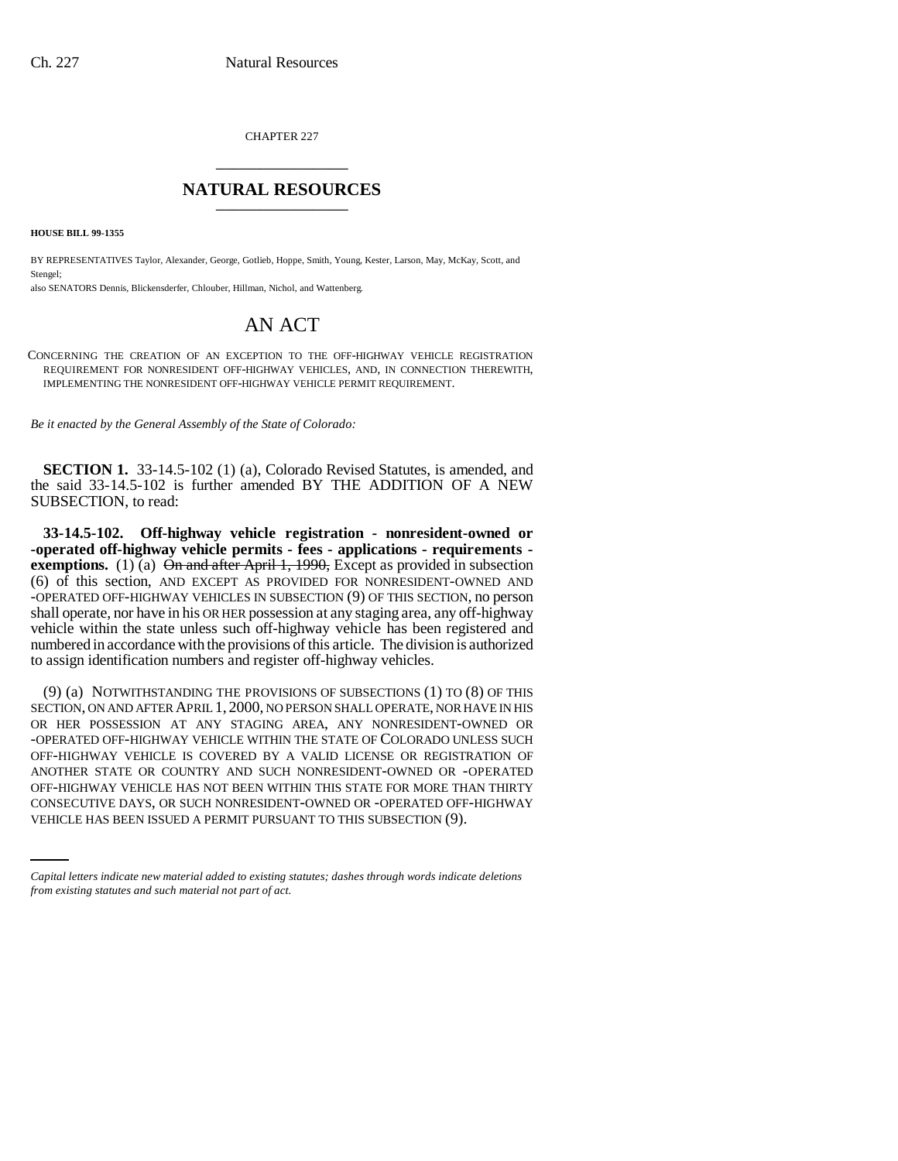CHAPTER 227 \_\_\_\_\_\_\_\_\_\_\_\_\_\_\_

## **NATURAL RESOURCES** \_\_\_\_\_\_\_\_\_\_\_\_\_\_\_

**HOUSE BILL 99-1355** 

BY REPRESENTATIVES Taylor, Alexander, George, Gotlieb, Hoppe, Smith, Young, Kester, Larson, May, McKay, Scott, and Stengel;

also SENATORS Dennis, Blickensderfer, Chlouber, Hillman, Nichol, and Wattenberg.

## AN ACT

CONCERNING THE CREATION OF AN EXCEPTION TO THE OFF-HIGHWAY VEHICLE REGISTRATION REQUIREMENT FOR NONRESIDENT OFF-HIGHWAY VEHICLES, AND, IN CONNECTION THEREWITH, IMPLEMENTING THE NONRESIDENT OFF-HIGHWAY VEHICLE PERMIT REQUIREMENT.

*Be it enacted by the General Assembly of the State of Colorado:*

**SECTION 1.** 33-14.5-102 (1) (a), Colorado Revised Statutes, is amended, and the said 33-14.5-102 is further amended BY THE ADDITION OF A NEW SUBSECTION, to read:

**33-14.5-102. Off-highway vehicle registration - nonresident-owned or -operated off-highway vehicle permits - fees - applications - requirements exemptions.** (1) (a)  $\Theta$ <del>n and after April 1, 1990,</del> Except as provided in subsection (6) of this section, AND EXCEPT AS PROVIDED FOR NONRESIDENT-OWNED AND -OPERATED OFF-HIGHWAY VEHICLES IN SUBSECTION (9) OF THIS SECTION, no person shall operate, nor have in his OR HER possession at any staging area, any off-highway vehicle within the state unless such off-highway vehicle has been registered and numbered in accordance with the provisions of this article. The division is authorized to assign identification numbers and register off-highway vehicles.

OFF-HIGHWAY VEHICLE HAS NOT BEEN WITHIN THIS STATE FOR MORE THAN THIRTY (9) (a) NOTWITHSTANDING THE PROVISIONS OF SUBSECTIONS (1) TO (8) OF THIS SECTION, ON AND AFTER APRIL 1, 2000, NO PERSON SHALL OPERATE, NOR HAVE IN HIS OR HER POSSESSION AT ANY STAGING AREA, ANY NONRESIDENT-OWNED OR -OPERATED OFF-HIGHWAY VEHICLE WITHIN THE STATE OF COLORADO UNLESS SUCH OFF-HIGHWAY VEHICLE IS COVERED BY A VALID LICENSE OR REGISTRATION OF ANOTHER STATE OR COUNTRY AND SUCH NONRESIDENT-OWNED OR -OPERATED CONSECUTIVE DAYS, OR SUCH NONRESIDENT-OWNED OR -OPERATED OFF-HIGHWAY VEHICLE HAS BEEN ISSUED A PERMIT PURSUANT TO THIS SUBSECTION (9).

*Capital letters indicate new material added to existing statutes; dashes through words indicate deletions from existing statutes and such material not part of act.*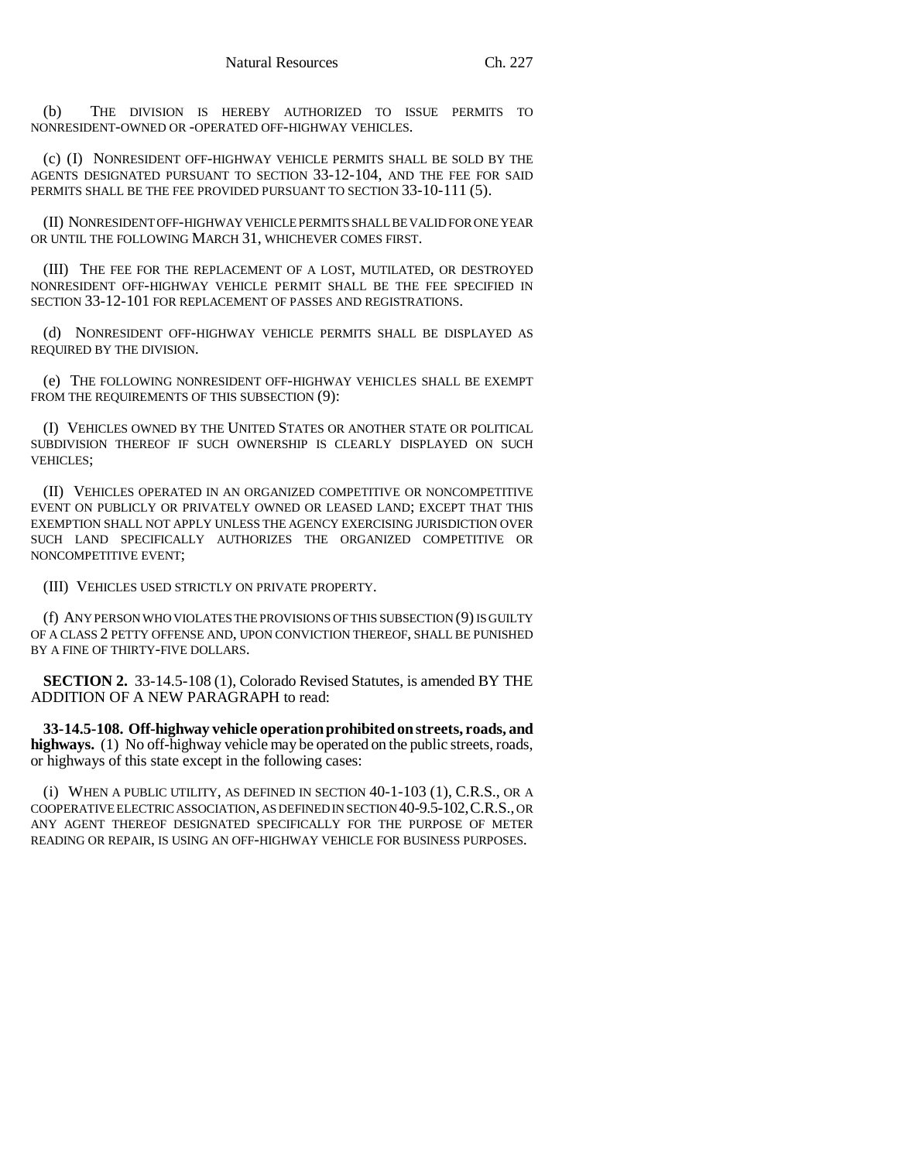(b) THE DIVISION IS HEREBY AUTHORIZED TO ISSUE PERMITS TO NONRESIDENT-OWNED OR -OPERATED OFF-HIGHWAY VEHICLES.

(c) (I) NONRESIDENT OFF-HIGHWAY VEHICLE PERMITS SHALL BE SOLD BY THE AGENTS DESIGNATED PURSUANT TO SECTION 33-12-104, AND THE FEE FOR SAID PERMITS SHALL BE THE FEE PROVIDED PURSUANT TO SECTION 33-10-111 (5).

(II) NONRESIDENT OFF-HIGHWAY VEHICLE PERMITS SHALL BE VALID FOR ONE YEAR OR UNTIL THE FOLLOWING MARCH 31, WHICHEVER COMES FIRST.

(III) THE FEE FOR THE REPLACEMENT OF A LOST, MUTILATED, OR DESTROYED NONRESIDENT OFF-HIGHWAY VEHICLE PERMIT SHALL BE THE FEE SPECIFIED IN SECTION 33-12-101 FOR REPLACEMENT OF PASSES AND REGISTRATIONS.

(d) NONRESIDENT OFF-HIGHWAY VEHICLE PERMITS SHALL BE DISPLAYED AS REQUIRED BY THE DIVISION.

(e) THE FOLLOWING NONRESIDENT OFF-HIGHWAY VEHICLES SHALL BE EXEMPT FROM THE REQUIREMENTS OF THIS SUBSECTION (9):

(I) VEHICLES OWNED BY THE UNITED STATES OR ANOTHER STATE OR POLITICAL SUBDIVISION THEREOF IF SUCH OWNERSHIP IS CLEARLY DISPLAYED ON SUCH VEHICLES;

(II) VEHICLES OPERATED IN AN ORGANIZED COMPETITIVE OR NONCOMPETITIVE EVENT ON PUBLICLY OR PRIVATELY OWNED OR LEASED LAND; EXCEPT THAT THIS EXEMPTION SHALL NOT APPLY UNLESS THE AGENCY EXERCISING JURISDICTION OVER SUCH LAND SPECIFICALLY AUTHORIZES THE ORGANIZED COMPETITIVE OR NONCOMPETITIVE EVENT;

(III) VEHICLES USED STRICTLY ON PRIVATE PROPERTY.

(f) ANY PERSON WHO VIOLATES THE PROVISIONS OF THIS SUBSECTION (9) IS GUILTY OF A CLASS 2 PETTY OFFENSE AND, UPON CONVICTION THEREOF, SHALL BE PUNISHED BY A FINE OF THIRTY-FIVE DOLLARS.

**SECTION 2.** 33-14.5-108 (1), Colorado Revised Statutes, is amended BY THE ADDITION OF A NEW PARAGRAPH to read:

**33-14.5-108. Off-highway vehicle operation prohibited on streets, roads, and highways.** (1) No off-highway vehicle may be operated on the public streets, roads, or highways of this state except in the following cases:

(i) WHEN A PUBLIC UTILITY, AS DEFINED IN SECTION 40-1-103 (1), C.R.S., OR A COOPERATIVE ELECTRIC ASSOCIATION, AS DEFINED IN SECTION 40-9.5-102,C.R.S., OR ANY AGENT THEREOF DESIGNATED SPECIFICALLY FOR THE PURPOSE OF METER READING OR REPAIR, IS USING AN OFF-HIGHWAY VEHICLE FOR BUSINESS PURPOSES.